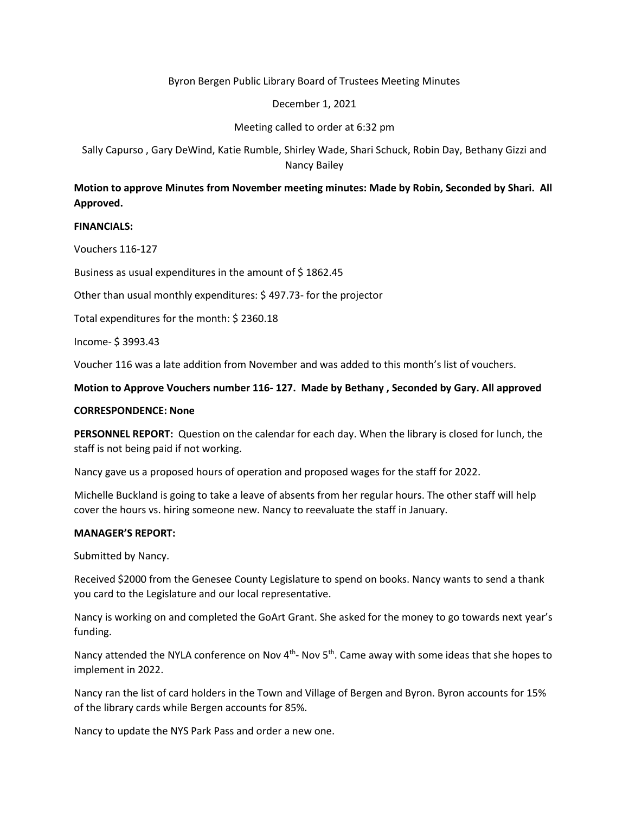## Byron Bergen Public Library Board of Trustees Meeting Minutes

#### December 1, 2021

## Meeting called to order at 6:32 pm

Sally Capurso , Gary DeWind, Katie Rumble, Shirley Wade, Shari Schuck, Robin Day, Bethany Gizzi and Nancy Bailey

# **Motion to approve Minutes from November meeting minutes: Made by Robin, Seconded by Shari. All Approved.**

### **FINANCIALS:**

Vouchers 116-127

Business as usual expenditures in the amount of \$ 1862.45

Other than usual monthly expenditures: \$ 497.73- for the projector

Total expenditures for the month: \$ 2360.18

Income- \$ 3993.43

Voucher 116 was a late addition from November and was added to this month's list of vouchers.

### **Motion to Approve Vouchers number 116- 127. Made by Bethany , Seconded by Gary. All approved**

#### **CORRESPONDENCE: None**

**PERSONNEL REPORT:** Question on the calendar for each day. When the library is closed for lunch, the staff is not being paid if not working.

Nancy gave us a proposed hours of operation and proposed wages for the staff for 2022.

Michelle Buckland is going to take a leave of absents from her regular hours. The other staff will help cover the hours vs. hiring someone new. Nancy to reevaluate the staff in January.

#### **MANAGER'S REPORT:**

Submitted by Nancy.

Received \$2000 from the Genesee County Legislature to spend on books. Nancy wants to send a thank you card to the Legislature and our local representative.

Nancy is working on and completed the GoArt Grant. She asked for the money to go towards next year's funding.

Nancy attended the NYLA conference on Nov 4<sup>th</sup>- Nov 5<sup>th</sup>. Came away with some ideas that she hopes to implement in 2022.

Nancy ran the list of card holders in the Town and Village of Bergen and Byron. Byron accounts for 15% of the library cards while Bergen accounts for 85%.

Nancy to update the NYS Park Pass and order a new one.